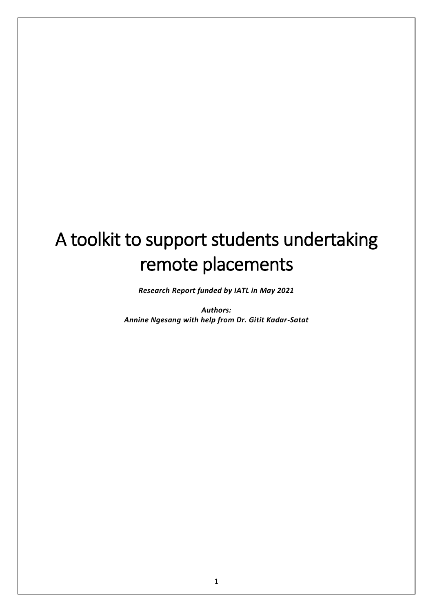# A toolkit to support students undertaking remote placements

*Research Report funded by IATL in May 2021*

*Authors: Annine Ngesang with help from Dr. Gitit Kadar-Satat*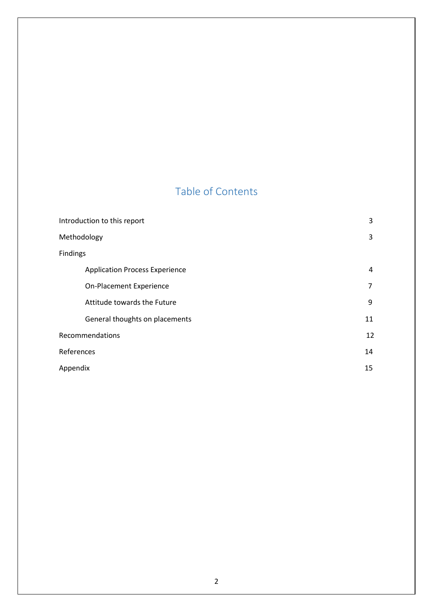## Table of Contents

| Introduction to this report           | 3  |
|---------------------------------------|----|
| Methodology                           | 3  |
| Findings                              |    |
| <b>Application Process Experience</b> | 4  |
| On-Placement Experience               | 7  |
| Attitude towards the Future           | 9  |
| General thoughts on placements        | 11 |
| Recommendations                       | 12 |
| References                            | 14 |
| Appendix                              | 15 |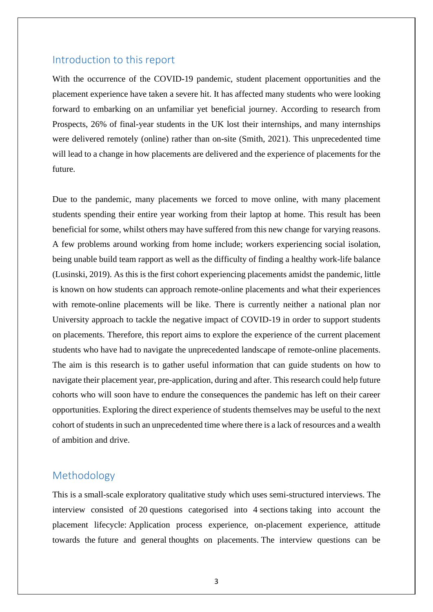#### Introduction to this report

With the occurrence of the COVID-19 pandemic, student placement opportunities and the placement experience have taken a severe hit. It has affected many students who were looking forward to embarking on an unfamiliar yet beneficial journey. According to research from Prospects, 26% of final-year students in the UK lost their internships, and many internships were delivered remotely (online) rather than on-site (Smith, 2021). This unprecedented time will lead to a change in how placements are delivered and the experience of placements for the future.

Due to the pandemic, many placements we forced to move online, with many placement students spending their entire year working from their laptop at home. This result has been beneficial for some, whilst others may have suffered from this new change for varying reasons. A few problems around working from home include; workers experiencing social isolation, being unable build team rapport as well as the difficulty of finding a healthy work-life balance (Lusinski, 2019). As this is the first cohort experiencing placements amidst the pandemic, little is known on how students can approach remote-online placements and what their experiences with remote-online placements will be like. There is currently neither a national plan nor University approach to tackle the negative impact of COVID-19 in order to support students on placements. Therefore, this report aims to explore the experience of the current placement students who have had to navigate the unprecedented landscape of remote-online placements. The aim is this research is to gather useful information that can guide students on how to navigate their placement year, pre-application, during and after. This research could help future cohorts who will soon have to endure the consequences the pandemic has left on their career opportunities. Exploring the direct experience of students themselves may be useful to the next cohort of students in such an unprecedented time where there is a lack of resources and a wealth of ambition and drive.

## Methodology

This is a small-scale exploratory qualitative study which uses semi-structured interviews. The interview consisted of 20 questions categorised into 4 sections taking into account the placement lifecycle: Application process experience, on-placement experience, attitude towards the future and general thoughts on placements. The interview questions can be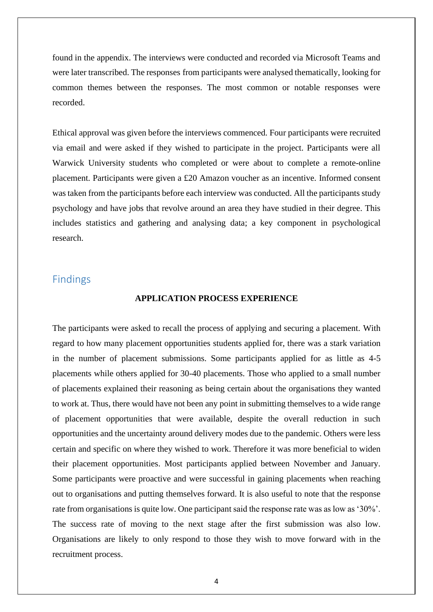found in the appendix. The interviews were conducted and recorded via Microsoft Teams and were later transcribed. The responses from participants were analysed thematically, looking for common themes between the responses. The most common or notable responses were recorded.

Ethical approval was given before the interviews commenced. Four participants were recruited via email and were asked if they wished to participate in the project. Participants were all Warwick University students who completed or were about to complete a remote-online placement. Participants were given a £20 Amazon voucher as an incentive. Informed consent was taken from the participants before each interview was conducted. All the participants study psychology and have jobs that revolve around an area they have studied in their degree. This includes statistics and gathering and analysing data; a key component in psychological research.

## Findings

#### **APPLICATION PROCESS EXPERIENCE**

The participants were asked to recall the process of applying and securing a placement. With regard to how many placement opportunities students applied for, there was a stark variation in the number of placement submissions. Some participants applied for as little as 4-5 placements while others applied for 30-40 placements. Those who applied to a small number of placements explained their reasoning as being certain about the organisations they wanted to work at. Thus, there would have not been any point in submitting themselves to a wide range of placement opportunities that were available, despite the overall reduction in such opportunities and the uncertainty around delivery modes due to the pandemic. Others were less certain and specific on where they wished to work. Therefore it was more beneficial to widen their placement opportunities. Most participants applied between November and January. Some participants were proactive and were successful in gaining placements when reaching out to organisations and putting themselves forward. It is also useful to note that the response rate from organisations is quite low. One participant said the response rate was as low as '30%'. The success rate of moving to the next stage after the first submission was also low. Organisations are likely to only respond to those they wish to move forward with in the recruitment process.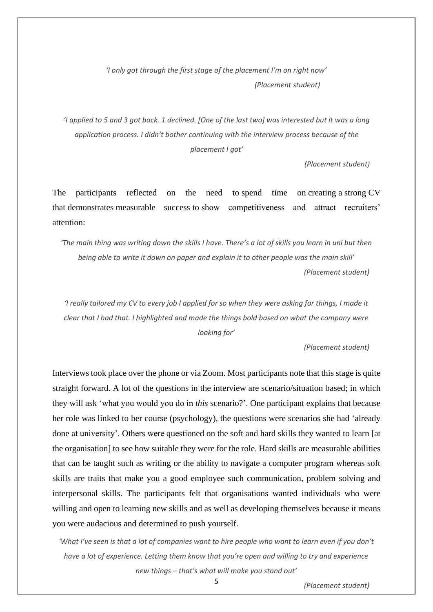*'I only got through the first stage of the placement I'm on right now' (Placement student)*

*'I applied to 5 and 3 got back. 1 declined. [One of the last two] was interested but it was a long application process. I didn't bother continuing with the interview process because of the placement I got'*

 *(Placement student)*

The participants reflected on the need to spend time on creating a strong CV that demonstrates measurable success to show competitiveness and attract recruiters' attention:

*'The main thing was writing down the skills I have. There's a lot of skills you learn in uni but then being able to write it down on paper and explain it to other people was the main skill' (Placement student)*

*'I really tailored my CV to every job I applied for so when they were asking for things, I made it clear that I had that. I highlighted and made the things bold based on what the company were looking for'*

 *(Placement student)*

Interviews took place over the phone or via Zoom. Most participants note that this stage is quite straight forward. A lot of the questions in the interview are scenario/situation based; in which they will ask 'what you would you do in *this* scenario?'. One participant explains that because her role was linked to her course (psychology), the questions were scenarios she had 'already done at university'. Others were questioned on the soft and hard skills they wanted to learn [at the organisation] to see how suitable they were for the role. Hard skills are measurable abilities that can be taught such as writing or the ability to navigate a computer program whereas soft skills are traits that make you a good employee such communication, problem solving and interpersonal skills. The participants felt that organisations wanted individuals who were willing and open to learning new skills and as well as developing themselves because it means you were audacious and determined to push yourself.

*'What I've seen is that a lot of companies want to hire people who want to learn even if you don't have a lot of experience. Letting them know that you're open and willing to try and experience new things – that's what will make you stand out'*

5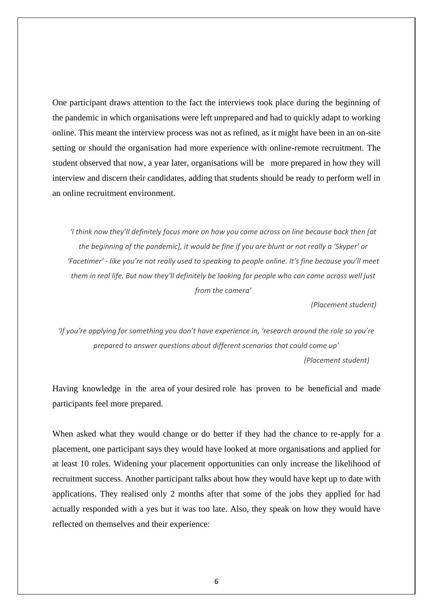One participant draws attention to the fact the interviews took place during the beginning of the pandemic in which organisations were left unprepared and had to quickly adapt to working online. This meant the interview process was not as refined, as it might have been in an on-site setting or should the organisation had more experience with online-remote recruitment. The student observed that now, a year later, organisations will be more prepared in how they will interview and discern their candidates, adding that students should be ready to perform well in an online recruitment environment.

*'I think now they'll definitely focus more on how you come across on line because back then [at the beginning of the pandemic], it would be fine if you are blunt or not really a 'Skyper' or 'Facetimer' - like you're not really used to speaking to people online. It's fine because you'll meet them in real life. But now they'll definitely be looking for people who can come across well just from the camera'*

 *(Placement student)*

*'If you're applying for something you don't have experience in, 'research around the role so you're prepared to answer questions about different scenarios that could come up' (Placement student)*

Having knowledge in the area of your desired role has proven to be beneficial and made participants feel more prepared.

When asked what they would change or do better if they had the chance to re-apply for a placement, one participant says they would have looked at more organisations and applied for at least 10 roles. Widening your placement opportunities can only increase the likelihood of recruitment success. Another participant talks about how they would have kept up to date with applications. They realised only 2 months after that some of the jobs they applied for had actually responded with a yes but it was too late. Also, they speak on how they would have reflected on themselves and their experience: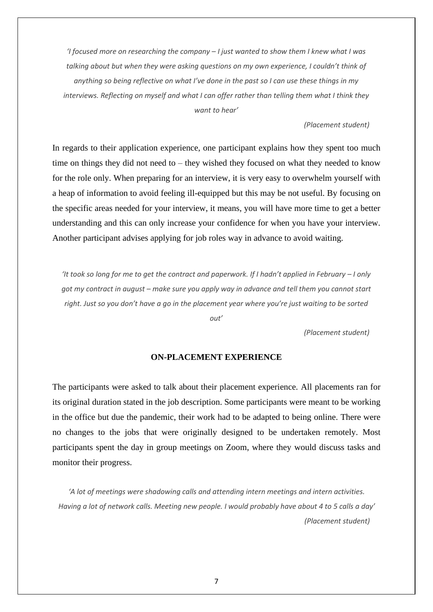*'I focused more on researching the company – I just wanted to show them I knew what I was*  talking about but when they were asking questions on my own experience, I couldn't think of *anything so being reflective on what I've done in the past so I can use these things in my interviews. Reflecting on myself and what I can offer rather than telling them what I think they want to hear'*

#### *(Placement student)*

In regards to their application experience, one participant explains how they spent too much time on things they did not need to – they wished they focused on what they needed to know for the role only. When preparing for an interview, it is very easy to overwhelm yourself with a heap of information to avoid feeling ill-equipped but this may be not useful. By focusing on the specific areas needed for your interview, it means, you will have more time to get a better understanding and this can only increase your confidence for when you have your interview. Another participant advises applying for job roles way in advance to avoid waiting.

*'It took so long for me to get the contract and paperwork. If I hadn't applied in February – I only got my contract in august – make sure you apply way in advance and tell them you cannot start right. Just so you don't have a go in the placement year where you're just waiting to be sorted* 

*out'*

 *(Placement student)*

#### **ON-PLACEMENT EXPERIENCE**

The participants were asked to talk about their placement experience. All placements ran for its original duration stated in the job description. Some participants were meant to be working in the office but due the pandemic, their work had to be adapted to being online. There were no changes to the jobs that were originally designed to be undertaken remotely. Most participants spent the day in group meetings on Zoom, where they would discuss tasks and monitor their progress.

*'A lot of meetings were shadowing calls and attending intern meetings and intern activities. Having a lot of network calls. Meeting new people. I would probably have about 4 to 5 calls a day' (Placement student)*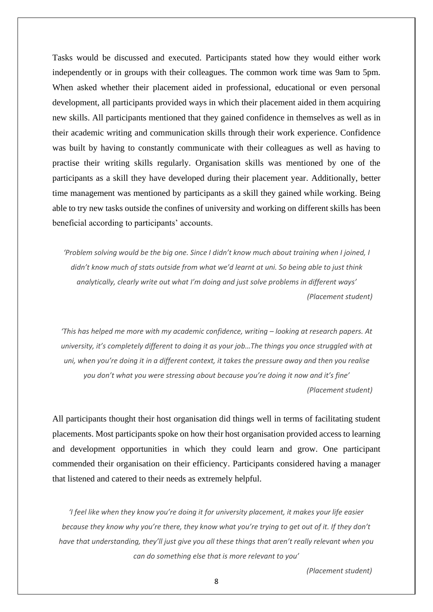Tasks would be discussed and executed. Participants stated how they would either work independently or in groups with their colleagues. The common work time was 9am to 5pm. When asked whether their placement aided in professional, educational or even personal development, all participants provided ways in which their placement aided in them acquiring new skills. All participants mentioned that they gained confidence in themselves as well as in their academic writing and communication skills through their work experience. Confidence was built by having to constantly communicate with their colleagues as well as having to practise their writing skills regularly. Organisation skills was mentioned by one of the participants as a skill they have developed during their placement year. Additionally, better time management was mentioned by participants as a skill they gained while working. Being able to try new tasks outside the confines of university and working on different skills has been beneficial according to participants' accounts.

*'Problem solving would be the big one. Since I didn't know much about training when I joined, I didn't know much of stats outside from what we'd learnt at uni. So being able to just think analytically, clearly write out what I'm doing and just solve problems in different ways' (Placement student)*

*'This has helped me more with my academic confidence, writing – looking at research papers. At university, it's completely different to doing it as your job…The things you once struggled with at uni, when you're doing it in a different context, it takes the pressure away and then you realise you don't what you were stressing about because you're doing it now and it's fine' (Placement student)*

All participants thought their host organisation did things well in terms of facilitating student placements. Most participants spoke on how their host organisation provided access to learning and development opportunities in which they could learn and grow. One participant commended their organisation on their efficiency. Participants considered having a manager that listened and catered to their needs as extremely helpful.

*'I feel like when they know you're doing it for university placement, it makes your life easier because they know why you're there, they know what you're trying to get out of it. If they don't have that understanding, they'll just give you all these things that aren't really relevant when you can do something else that is more relevant to you'*

 *(Placement student)*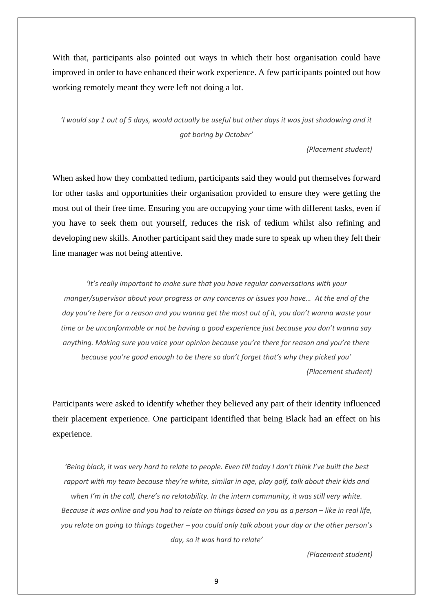With that, participants also pointed out ways in which their host organisation could have improved in order to have enhanced their work experience. A few participants pointed out how working remotely meant they were left not doing a lot.

*'I would say 1 out of 5 days, would actually be useful but other days it was just shadowing and it got boring by October'*

 *(Placement student)*

When asked how they combatted tedium, participants said they would put themselves forward for other tasks and opportunities their organisation provided to ensure they were getting the most out of their free time. Ensuring you are occupying your time with different tasks, even if you have to seek them out yourself, reduces the risk of tedium whilst also refining and developing new skills. Another participant said they made sure to speak up when they felt their line manager was not being attentive.

*'It's really important to make sure that you have regular conversations with your manger/supervisor about your progress or any concerns or issues you have… At the end of the day you're here for a reason and you wanna get the most out of it, you don't wanna waste your time or be unconformable or not be having a good experience just because you don't wanna say anything. Making sure you voice your opinion because you're there for reason and you're there because you're good enough to be there so don't forget that's why they picked you' (Placement student)*

Participants were asked to identify whether they believed any part of their identity influenced their placement experience. One participant identified that being Black had an effect on his experience.

*'Being black, it was very hard to relate to people. Even till today I don't think I've built the best rapport with my team because they're white, similar in age, play golf, talk about their kids and when I'm in the call, there's no relatability. In the intern community, it was still very white. Because it was online and you had to relate on things based on you as a person – like in real life, you relate on going to things together – you could only talk about your day or the other person's day, so it was hard to relate'*

 *(Placement student)*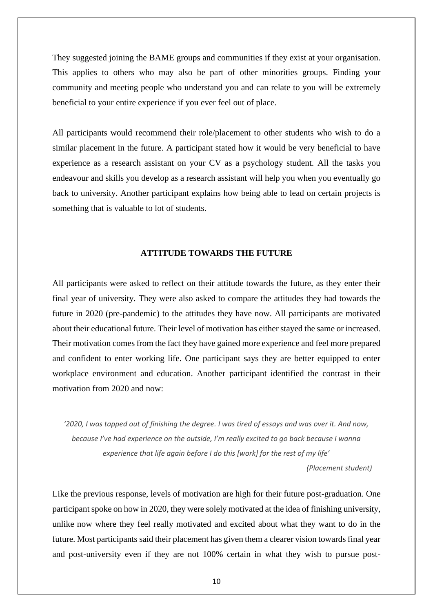They suggested joining the BAME groups and communities if they exist at your organisation. This applies to others who may also be part of other minorities groups. Finding your community and meeting people who understand you and can relate to you will be extremely beneficial to your entire experience if you ever feel out of place.

All participants would recommend their role/placement to other students who wish to do a similar placement in the future. A participant stated how it would be very beneficial to have experience as a research assistant on your CV as a psychology student. All the tasks you endeavour and skills you develop as a research assistant will help you when you eventually go back to university. Another participant explains how being able to lead on certain projects is something that is valuable to lot of students.

#### **ATTITUDE TOWARDS THE FUTURE**

All participants were asked to reflect on their attitude towards the future, as they enter their final year of university. They were also asked to compare the attitudes they had towards the future in 2020 (pre-pandemic) to the attitudes they have now. All participants are motivated about their educational future. Their level of motivation has either stayed the same or increased. Their motivation comes from the fact they have gained more experience and feel more prepared and confident to enter working life. One participant says they are better equipped to enter workplace environment and education. Another participant identified the contrast in their motivation from 2020 and now:

*'2020, I was tapped out of finishing the degree. I was tired of essays and was over it. And now, because I've had experience on the outside, I'm really excited to go back because I wanna experience that life again before I do this [work] for the rest of my life'*

 *(Placement student)*

Like the previous response, levels of motivation are high for their future post-graduation. One participant spoke on how in 2020, they were solely motivated at the idea of finishing university, unlike now where they feel really motivated and excited about what they want to do in the future. Most participants said their placement has given them a clearer vision towards final year and post-university even if they are not 100% certain in what they wish to pursue post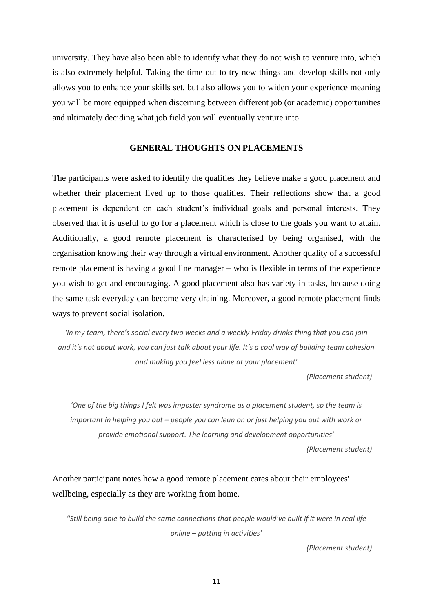university. They have also been able to identify what they do not wish to venture into, which is also extremely helpful. Taking the time out to try new things and develop skills not only allows you to enhance your skills set, but also allows you to widen your experience meaning you will be more equipped when discerning between different job (or academic) opportunities and ultimately deciding what job field you will eventually venture into.

#### **GENERAL THOUGHTS ON PLACEMENTS**

The participants were asked to identify the qualities they believe make a good placement and whether their placement lived up to those qualities. Their reflections show that a good placement is dependent on each student's individual goals and personal interests. They observed that it is useful to go for a placement which is close to the goals you want to attain. Additionally, a good remote placement is characterised by being organised, with the organisation knowing their way through a virtual environment. Another quality of a successful remote placement is having a good line manager – who is flexible in terms of the experience you wish to get and encouraging. A good placement also has variety in tasks, because doing the same task everyday can become very draining. Moreover, a good remote placement finds ways to prevent social isolation.

*'In my team, there's social every two weeks and a weekly Friday drinks thing that you can join and it's not about work, you can just talk about your life. It's a cool way of building team cohesion and making you feel less alone at your placement'*

 *(Placement student)*

*'One of the big things I felt was imposter syndrome as a placement student, so the team is important in helping you out – people you can lean on or just helping you out with work or provide emotional support. The learning and development opportunities'*

 *(Placement student)*

Another participant notes how a good remote placement cares about their employees' wellbeing, especially as they are working from home.

*''Still being able to build the same connections that people would've built if it were in real life online – putting in activities'*

 *(Placement student)*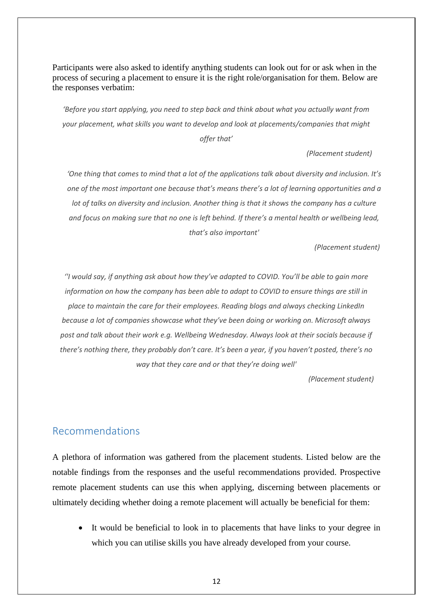Participants were also asked to identify anything students can look out for or ask when in the process of securing a placement to ensure it is the right role/organisation for them. Below are the responses verbatim:

*'Before you start applying, you need to step back and think about what you actually want from your placement, what skills you want to develop and look at placements/companies that might offer that'*

 *(Placement student)*

*'One thing that comes to mind that a lot of the applications talk about diversity and inclusion. It's one of the most important one because that's means there's a lot of learning opportunities and a lot of talks on diversity and inclusion. Another thing is that it shows the company has a culture and focus on making sure that no one is left behind. If there's a mental health or wellbeing lead, that's also important'*

 *(Placement student)*

*''I would say, if anything ask about how they've adapted to COVID. You'll be able to gain more information on how the company has been able to adapt to COVID to ensure things are still in place to maintain the care for their employees. Reading blogs and always checking LinkedIn because a lot of companies showcase what they've been doing or working on. Microsoft always post and talk about their work e.g. Wellbeing Wednesday. Always look at their socials because if there's nothing there, they probably don't care. It's been a year, if you haven't posted, there's no way that they care and or that they're doing well'*

 *(Placement student)*

## Recommendations

A plethora of information was gathered from the placement students. Listed below are the notable findings from the responses and the useful recommendations provided. Prospective remote placement students can use this when applying, discerning between placements or ultimately deciding whether doing a remote placement will actually be beneficial for them:

It would be beneficial to look in to placements that have links to your degree in which you can utilise skills you have already developed from your course.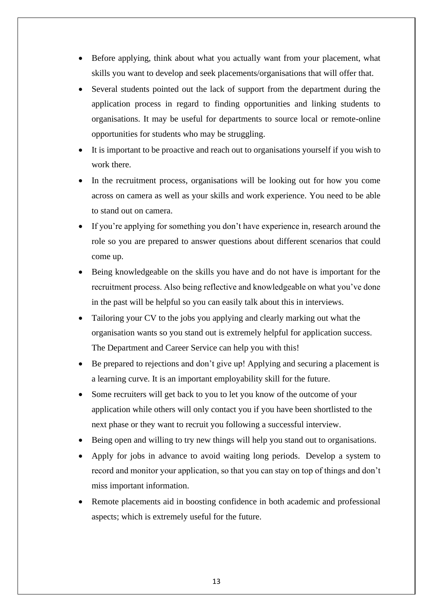- Before applying, think about what you actually want from your placement, what skills you want to develop and seek placements/organisations that will offer that.
- Several students pointed out the lack of support from the department during the application process in regard to finding opportunities and linking students to organisations. It may be useful for departments to source local or remote-online opportunities for students who may be struggling.
- It is important to be proactive and reach out to organisations yourself if you wish to work there.
- In the recruitment process, organisations will be looking out for how you come across on camera as well as your skills and work experience. You need to be able to stand out on camera.
- If you're applying for something you don't have experience in, research around the role so you are prepared to answer questions about different scenarios that could come up.
- Being knowledgeable on the skills you have and do not have is important for the recruitment process. Also being reflective and knowledgeable on what you've done in the past will be helpful so you can easily talk about this in interviews.
- Tailoring your CV to the jobs you applying and clearly marking out what the organisation wants so you stand out is extremely helpful for application success. The Department and Career Service can help you with this!
- Be prepared to rejections and don't give up! Applying and securing a placement is a learning curve. It is an important employability skill for the future.
- Some recruiters will get back to you to let you know of the outcome of your application while others will only contact you if you have been shortlisted to the next phase or they want to recruit you following a successful interview.
- Being open and willing to try new things will help you stand out to organisations.
- Apply for jobs in advance to avoid waiting long periods. Develop a system to record and monitor your application, so that you can stay on top of things and don't miss important information.
- Remote placements aid in boosting confidence in both academic and professional aspects; which is extremely useful for the future.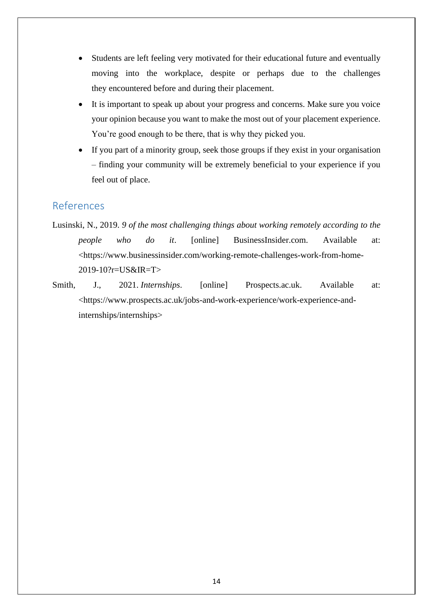- Students are left feeling very motivated for their educational future and eventually moving into the workplace, despite or perhaps due to the challenges they encountered before and during their placement.
- It is important to speak up about your progress and concerns. Make sure you voice your opinion because you want to make the most out of your placement experience. You're good enough to be there, that is why they picked you.
- If you part of a minority group, seek those groups if they exist in your organisation – finding your community will be extremely beneficial to your experience if you feel out of place.

## References

- Lusinski, N., 2019. *9 of the most challenging things about working remotely according to the people who do it*. [online] BusinessInsider.com. Available at: <https://www.businessinsider.com/working-remote-challenges-work-from-home-2019-10?r=US&IR=T>
- Smith, J., 2021. *Internships*. [online] Prospects.ac.uk. Available at: <https://www.prospects.ac.uk/jobs-and-work-experience/work-experience-andinternships/internships>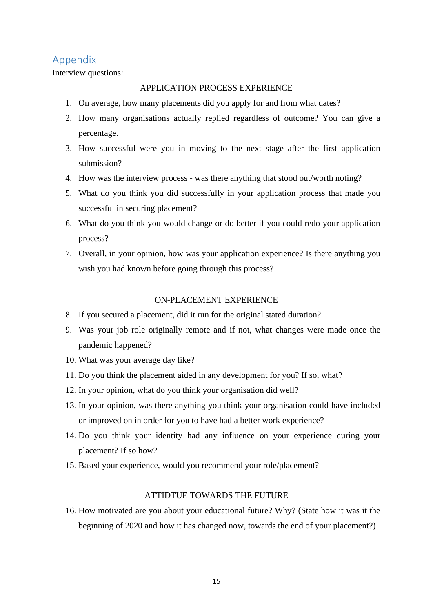### Appendix

Interview questions:

#### APPLICATION PROCESS EXPERIENCE

- 1. On average, how many placements did you apply for and from what dates?
- 2. How many organisations actually replied regardless of outcome? You can give a percentage.
- 3. How successful were you in moving to the next stage after the first application submission?
- 4. How was the interview process was there anything that stood out/worth noting?
- 5. What do you think you did successfully in your application process that made you successful in securing placement?
- 6. What do you think you would change or do better if you could redo your application process?
- 7. Overall, in your opinion, how was your application experience? Is there anything you wish you had known before going through this process?

#### ON-PLACEMENT EXPERIENCE

- 8. If you secured a placement, did it run for the original stated duration?
- 9. Was your job role originally remote and if not, what changes were made once the pandemic happened?
- 10. What was your average day like?
- 11. Do you think the placement aided in any development for you? If so, what?
- 12. In your opinion, what do you think your organisation did well?
- 13. In your opinion, was there anything you think your organisation could have included or improved on in order for you to have had a better work experience?
- 14. Do you think your identity had any influence on your experience during your placement? If so how?
- 15. Based your experience, would you recommend your role/placement?

#### ATTIDTUE TOWARDS THE FUTURE

16. How motivated are you about your educational future? Why? (State how it was it the beginning of 2020 and how it has changed now, towards the end of your placement?)